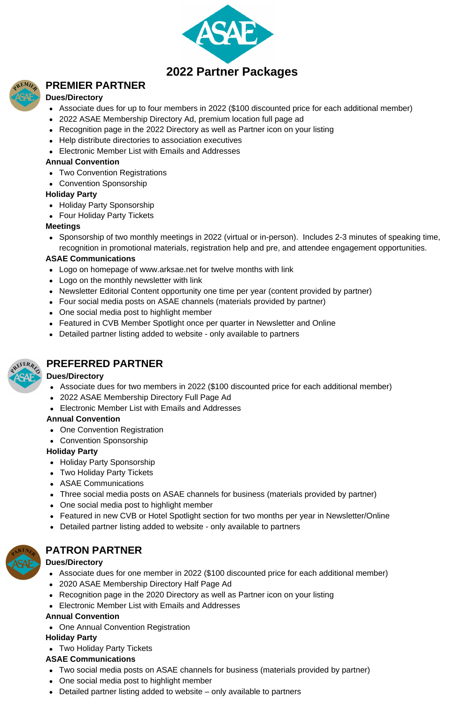

# **PREMIER PARTNER**

# **Dues/Directory**

- Associate dues for up to four members in 2022 (\$100 discounted price for each additional member)
- 2022 ASAE Membership Directory Ad, premium location full page ad
- Recognition page in the 2022 Directory as well as Partner icon on your listing
- Help distribute directories to association executives
- **Electronic Member List with Emails and Addresses**

#### **Annual Convention**

- Two Convention Registrations
- Convention Sponsorship

## **Holiday Party**

- Holiday Party Sponsorship
- Four Holiday Party Tickets

## **Meetings**

• Sponsorship of two monthly meetings in 2022 (virtual or in-person). Includes 2-3 minutes of speaking time, recognition in promotional materials, registration help and pre, and attendee engagement opportunities.

## **ASAE Communications**

- Logo on homepage of www.arksae.net for twelve months with link
- Logo on the monthly newsletter with link
- Newsletter Editorial Content opportunity one time per year (content provided by partner)
- Four social media posts on ASAE channels (materials provided by partner)
- One social media post to highlight member
- Featured in CVB Member Spotlight once per quarter in Newsletter and Online
- Detailed partner listing added to website only available to partners



# **PREFERRED PARTNER**

#### **Dues/Directory**

- Associate dues for two members in 2022 (\$100 discounted price for each additional member)
- 2022 ASAE Membership Directory Full Page Ad
- Electronic Member List with Emails and Addresses

#### **Annual Convention**

- One Convention Registration
- Convention Sponsorship

#### **Holiday Party**

- Holiday Party Sponsorship
- Two Holiday Party Tickets
- ASAE Communications
- Three social media posts on ASAE channels for business (materials provided by partner)
- One social media post to highlight member
- Featured in new CVB or Hotel Spotlight section for two months per year in Newsletter/Online
- Detailed partner listing added to website only available to partners



# **PATRON PARTNER**

# **Dues/Directory**

- Associate dues for one member in 2022 (\$100 discounted price for each additional member)
- 2020 ASAE Membership Directory Half Page Ad
- Recognition page in the 2020 Directory as well as Partner icon on your listing
- Electronic Member List with Emails and Addresses

#### **Annual Convention**

• One Annual Convention Registration

# **Holiday Party**

Two Holiday Party Tickets

# **ASAE Communications**

- Two social media posts on ASAE channels for business (materials provided by partner)
- One social media post to highlight member
- Detailed partner listing added to website only available to partners